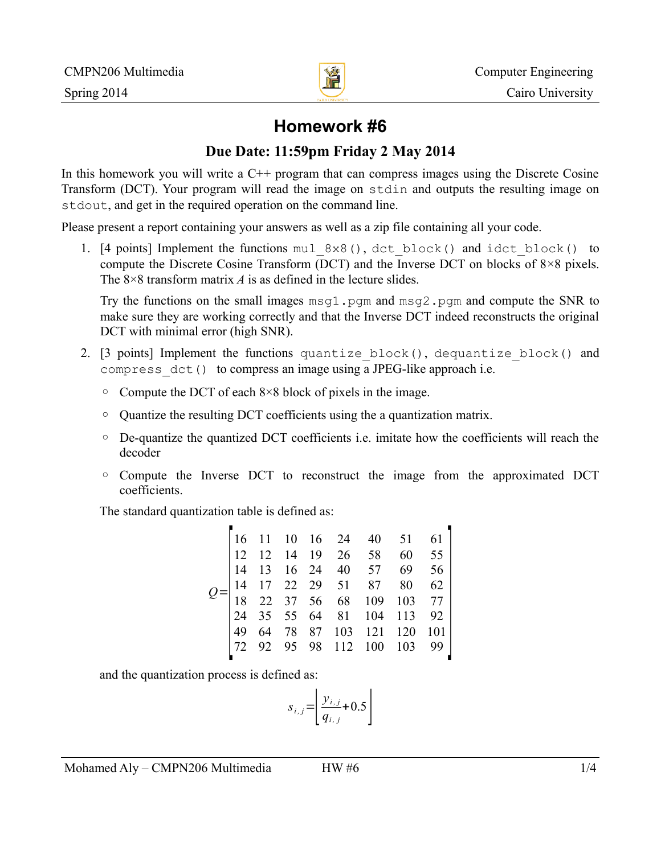

# **Homework #6**

## **Due Date: 11:59pm Friday 2 May 2014**

In this homework you will write a  $C^{++}$  program that can compress images using the Discrete Cosine Transform (DCT). Your program will read the image on stdin and outputs the resulting image on stdout, and get in the required operation on the command line.

Please present a report containing your answers as well as a zip file containing all your code.

1. [4 points] Implement the functions mul\_8x8(), dct\_block() and idct\_block() to compute the Discrete Cosine Transform (DCT) and the Inverse DCT on blocks of 8×8 pixels. The 8×8 transform matrix *A* is as defined in the lecture slides.

Try the functions on the small images msg1.pgm and msg2.pgm and compute the SNR to make sure they are working correctly and that the Inverse DCT indeed reconstructs the original DCT with minimal error (high SNR).

- 2. [3 points] Implement the functions quantize\_block(), dequantize\_block() and compress\_dct() to compress an image using a JPEG-like approach i.e.
	- Compute the DCT of each 8×8 block of pixels in the image.
	- Quantize the resulting DCT coefficients using the a quantization matrix.
	- De-quantize the quantized DCT coefficients i.e. imitate how the coefficients will reach the decoder
	- Compute the Inverse DCT to reconstruct the image from the approximated DCT coefficients.

The standard quantization table is defined as:

and the quantization process is defined as:

$$
s_{i,j} = \left[ \frac{y_{i,j}}{q_{i,j}} + 0.5 \right]
$$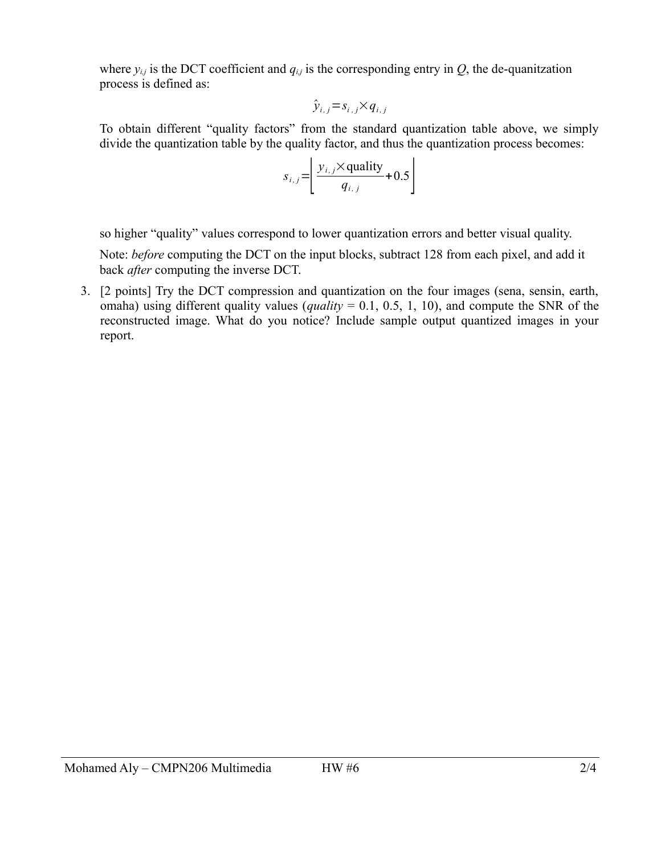where  $y_{i,j}$  is the DCT coefficient and  $q_{i,j}$  is the corresponding entry in  $Q$ , the de-quanitzation process is defined as:

$$
\hat{y}_{i,j} = s_{i,j} \times q_{i,j}
$$

To obtain different "quality factors" from the standard quantization table above, we simply divide the quantization table by the quality factor, and thus the quantization process becomes:

$$
s_{i,j} = \left\lfloor \frac{y_{i,j} \times \text{quality}}{q_{i,j}} + 0.5 \right\rfloor
$$

so higher "quality" values correspond to lower quantization errors and better visual quality.

Note: *before* computing the DCT on the input blocks, subtract 128 from each pixel, and add it back *after* computing the inverse DCT.

3. [2 points] Try the DCT compression and quantization on the four images (sena, sensin, earth, omaha) using different quality values (*quality* = 0.1, 0.5, 1, 10), and compute the SNR of the reconstructed image. What do you notice? Include sample output quantized images in your report.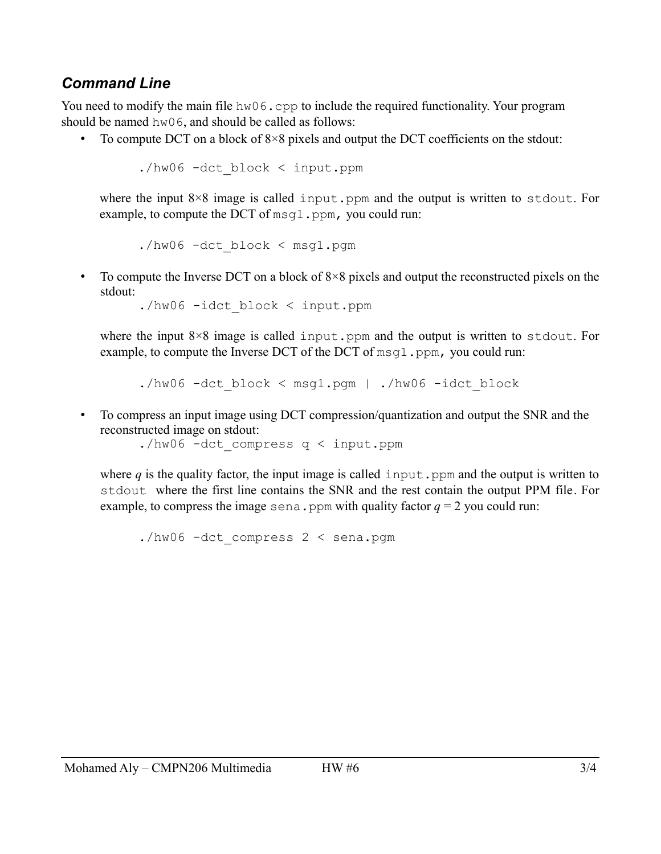# *Command Line*

You need to modify the main file hw06.cpp to include the required functionality. Your program should be named hw06, and should be called as follows:

• To compute DCT on a block of 8×8 pixels and output the DCT coefficients on the stdout:

```
./hw06 -dct_block < input.ppm
```
where the input  $8\times 8$  image is called input.ppm and the output is written to stdout. For example, to compute the DCT of  $msq1.ppm$ , you could run:

```
./hw06 -dct_block < msg1.pgm
```
• To compute the Inverse DCT on a block of  $8\times 8$  pixels and output the reconstructed pixels on the stdout:

./hw06 -idct\_block < input.ppm

where the input  $8\times 8$  image is called input.ppm and the output is written to stdout. For example, to compute the Inverse DCT of the DCT of msq1.ppm, you could run:

./hw06 -dct block < msg1.pgm | ./hw06 -idct block

• To compress an input image using DCT compression/quantization and output the SNR and the reconstructed image on stdout:

./hw06 -dct\_compress q < input.ppm

where  $q$  is the quality factor, the input image is called input. ppm and the output is written to stdout where the first line contains the SNR and the rest contain the output PPM file. For example, to compress the image sena.ppm with quality factor  $q = 2$  you could run:

./hw06 -dct\_compress 2 < sena.pgm